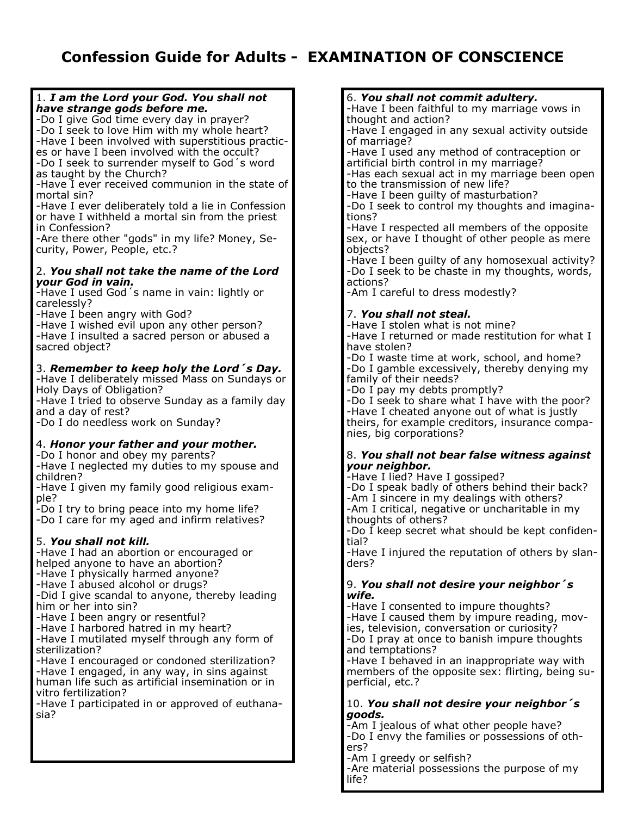# **Confession Guide for Adults - EXAMINATION OF CONSCIENCE**

#### 1. *I am the Lord your God. You shall not have strange gods before me.*

-Do I give God time every day in prayer? -Do I seek to love Him with my whole heart? -Have I been involved with superstitious practices or have I been involved with the occult? -Do I seek to surrender myself to God´s word

as taught by the Church? -Have I ever received communion in the state of

mortal sin? -Have I ever deliberately told a lie in Confession or have I withheld a mortal sin from the priest in Confession?

-Are there other "gods" in my life? Money, Security, Power, People, etc.?

#### 2. *You shall not take the name of the Lord your God in vain.*

-Have I used God´s name in vain: lightly or carelessly?

-Have I been angry with God?

-Have I wished evil upon any other person? -Have I insulted a sacred person or abused a sacred object?

### 3. *Remember to keep holy the Lord´s Day.*

-Have I deliberately missed Mass on Sundays or Holy Days of Obligation?

-Have I tried to observe Sunday as a family day and a day of rest?

-Do I do needless work on Sunday?

### 4. *Honor your father and your mother.*

-Do I honor and obey my parents? -Have I neglected my duties to my spouse and children?

-Have I given my family good religious example?

-Do I try to bring peace into my home life? -Do I care for my aged and infirm relatives?

### 5. *You shall not kill.*

-Have I had an abortion or encouraged or helped anyone to have an abortion?

-Have I physically harmed anyone?

-Have I abused alcohol or drugs? -Did I give scandal to anyone, thereby leading

him or her into sin?

-Have I been angry or resentful?

-Have I harbored hatred in my heart?

-Have I mutilated myself through any form of sterilization?

-Have I encouraged or condoned sterilization? -Have I engaged, in any way, in sins against human life such as artificial insemination or in vitro fertilization?

-Have I participated in or approved of euthanasia?

6. *You shall not commit adultery.* -Have I been faithful to my marriage vows in thought and action? -Have I engaged in any sexual activity outside of marriage? -Have I used any method of contraception or artificial birth control in my marriage? -Has each sexual act in my marriage been open to the transmission of new life? -Have I been guilty of masturbation? -Do I seek to control my thoughts and imaginations? -Have I respected all members of the opposite sex, or have I thought of other people as mere objects? -Have I been guilty of any homosexual activity? -Do I seek to be chaste in my thoughts, words, actions? -Am I careful to dress modestly? 7. *You shall not steal.* -Have I stolen what is not mine? -Have I returned or made restitution for what I have stolen? -Do I waste time at work, school, and home? -Do I gamble excessively, thereby denying my family of their needs? -Do I pay my debts promptly? -Do I seek to share what I have with the poor? -Have I cheated anyone out of what is justly theirs, for example creditors, insurance companies, big corporations? 8. *You shall not bear false witness against your neighbor.* -Have I lied? Have I gossiped? -Do I speak badly of others behind their back? -Am I sincere in my dealings with others? -Am I critical, negative or uncharitable in my thoughts of others? -Do I keep secret what should be kept confidential? -Have I injured the reputation of others by slanders? 9. *You shall not desire your neighbor´s wife.* -Have I consented to impure thoughts? -Have I caused them by impure reading, movies, television, conversation or curiosity? -Do I pray at once to banish impure thoughts

and temptations?

-Have I behaved in an inappropriate way with members of the opposite sex: flirting, being superficial, etc.?

### 10. *You shall not desire your neighbor´s goods.*

-Am I jealous of what other people have? -Do I envy the families or possessions of others?

-Am I greedy or selfish?

-Are material possessions the purpose of my life?